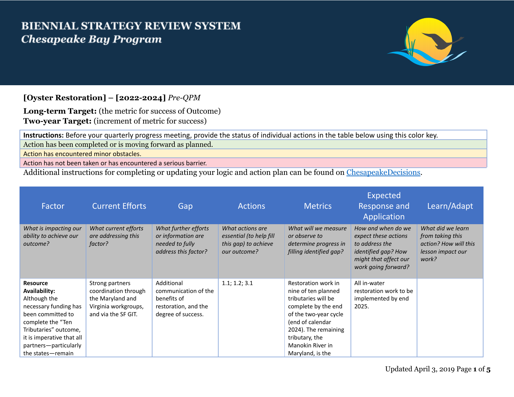## **BIENNIAL STRATEGY REVIEW SYSTEM Chesapeake Bay Program**



## **[Oyster Restoration] – [2022-2024]** *Pre-QPM*

**Long-term Target:** (the metric for success of Outcome) **Two-year Target:** (increment of metric for success)

**Instructions:** Before your quarterly progress meeting, provide the status of individual actions in the table below using this color key. Action has been completed or is moving forward as planned.

Action has encountered minor obstacles.

Action has not been taken or has encountered a serious barrier.

Additional instructions for completing or updating your logic and action plan can be found on [ChesapeakeDecisions.](http://www.chesapeakebay.net/decisions/srs-guide)

| Factor                                                                                                                                                                                                                  | <b>Current Efforts</b>                                                                                     | Gap                                                                                             | <b>Actions</b>                                                                      | <b>Metrics</b>                                                                                                                                                                                                          | Expected<br>Response and<br>Application                                                                                             | Learn/Adapt                                                                                  |
|-------------------------------------------------------------------------------------------------------------------------------------------------------------------------------------------------------------------------|------------------------------------------------------------------------------------------------------------|-------------------------------------------------------------------------------------------------|-------------------------------------------------------------------------------------|-------------------------------------------------------------------------------------------------------------------------------------------------------------------------------------------------------------------------|-------------------------------------------------------------------------------------------------------------------------------------|----------------------------------------------------------------------------------------------|
| What is impacting our<br>ability to achieve our<br>outcome?                                                                                                                                                             | What current efforts<br>are addressing this<br>factor?                                                     | What further efforts<br>or information are<br>needed to fully<br>address this factor?           | What actions are<br>essential (to help fill<br>this gap) to achieve<br>our outcome? | What will we measure<br>or observe to<br>determine progress in<br>filling identified gap?                                                                                                                               | How and when do we<br>expect these actions<br>to address the<br>identified gap? How<br>might that affect our<br>work going forward? | What did we learn<br>from taking this<br>action? How will this<br>lesson impact our<br>work? |
| <b>Resource</b><br>Availability:<br>Although the<br>necessary funding has<br>been committed to<br>complete the "Ten<br>Tributaries" outcome,<br>it is imperative that all<br>partners-particularly<br>the states-remain | Strong partners<br>coordination through<br>the Maryland and<br>Virginia workgroups,<br>and via the SF GIT. | Additional<br>communication of the<br>benefits of<br>restoration, and the<br>degree of success. | 1.1; 1.2; 3.1                                                                       | Restoration work in<br>nine of ten planned<br>tributaries will be<br>complete by the end<br>of the two-year cycle<br>(end of calendar<br>2024). The remaining<br>tributary, the<br>Manokin River in<br>Maryland, is the | All in-water<br>restoration work to be<br>implemented by end<br>2025.                                                               |                                                                                              |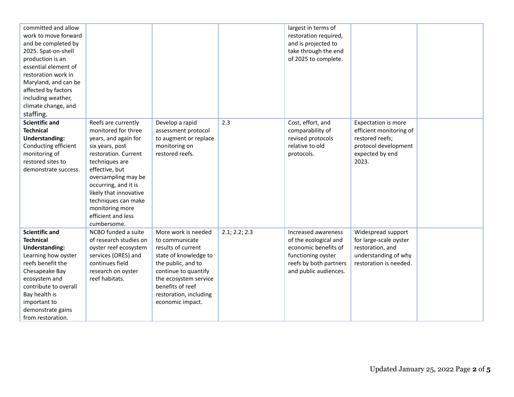| committed and allow<br>work to move forward<br>and be completed by<br>2025. Spat-on-shell<br>production is an<br>essential element of<br>restoration work in<br>Maryland, and can be<br>affected by factors<br>including weather,<br>climate change, and |                                                                                                                                                                                                                                                                                                           |                                                                                                                                                                                                                               |               | largest in terms of<br>restoration required,<br>and is projected to<br>take through the end<br>of 2025 to complete.                           |                                                                                                                       |  |
|----------------------------------------------------------------------------------------------------------------------------------------------------------------------------------------------------------------------------------------------------------|-----------------------------------------------------------------------------------------------------------------------------------------------------------------------------------------------------------------------------------------------------------------------------------------------------------|-------------------------------------------------------------------------------------------------------------------------------------------------------------------------------------------------------------------------------|---------------|-----------------------------------------------------------------------------------------------------------------------------------------------|-----------------------------------------------------------------------------------------------------------------------|--|
| staffing.<br><b>Scientific and</b><br><b>Technical</b><br><b>Understanding:</b><br>Conducting efficient<br>monitoring of<br>restored sites to<br>demonstrate success.                                                                                    | Reefs are currently<br>monitored for three<br>years, and again for<br>six years, post<br>restoration. Current<br>techniques are<br>effective, but<br>oversampling may be<br>occurring, and it is<br>likely that innovative<br>techniques can make<br>monitoring more<br>efficient and less<br>cumbersome. | Develop a rapid<br>assessment protocol<br>to augment or replace<br>monitoring on<br>restored reefs.                                                                                                                           | 2.3           | Cost, effort, and<br>comparability of<br>revised protocols<br>relative to old<br>protocols.                                                   | Expectation is more<br>efficient monitoring of<br>restored reefs;<br>protocol development<br>expected by end<br>2023. |  |
| <b>Scientific and</b><br><b>Technical</b><br><b>Understanding:</b><br>Learning how oyster<br>reefs benefit the<br>Chesapeake Bay<br>ecosystem and<br>contribute to overall<br>Bay health is<br>important to<br>demonstrate gains<br>from restoration.    | NCBO funded a suite<br>of research studies on<br>oyster reef ecosystem<br>services (ORES) and<br>continues field<br>research on oyster<br>reef habitats.                                                                                                                                                  | More work is needed<br>to communicate<br>results of current<br>state of knowledge to<br>the public, and to<br>continue to quantify<br>the ecosystem service<br>benefits of reef<br>restoration, including<br>economic impact. | 2.1; 2.2; 2.3 | Increased awareness<br>of the ecological and<br>economic benefits of<br>functioning oyster<br>reefs by both partners<br>and public audiences. | Widespread support<br>for large-scale oyster<br>restoration, and<br>understanding of why<br>restoration is needed.    |  |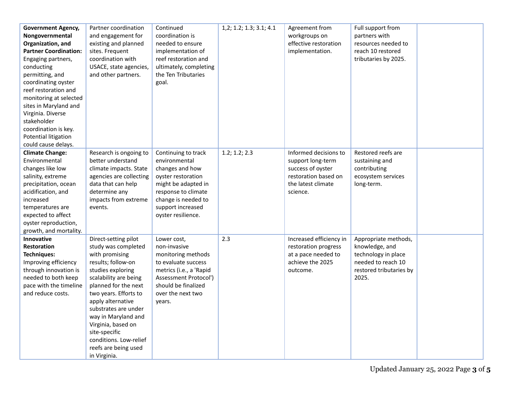| <b>Government Agency,</b><br>Nongovernmental<br>Organization, and<br><b>Partner Coordination:</b><br>Engaging partners,<br>conducting<br>permitting, and<br>coordinating oyster<br>reef restoration and<br>monitoring at selected<br>sites in Maryland and<br>Virginia. Diverse<br>stakeholder<br>coordination is key.<br>Potential litigation<br>could cause delays. | Partner coordination<br>and engagement for<br>existing and planned<br>sites. Frequent<br>coordination with<br>USACE, state agencies,<br>and other partners.                                                                                                                                                                                                     | Continued<br>coordination is<br>needed to ensure<br>implementation of<br>reef restoration and<br>ultimately, completing<br>the Ten Tributaries<br>goal.                                       | 1, 2; 1. 2; 1. 3; 3. 1; 4. 1 | Agreement from<br>workgroups on<br>effective restoration<br>implementation.                                               | Full support from<br>partners with<br>resources needed to<br>reach 10 restored<br>tributaries by 2025.                  |  |
|-----------------------------------------------------------------------------------------------------------------------------------------------------------------------------------------------------------------------------------------------------------------------------------------------------------------------------------------------------------------------|-----------------------------------------------------------------------------------------------------------------------------------------------------------------------------------------------------------------------------------------------------------------------------------------------------------------------------------------------------------------|-----------------------------------------------------------------------------------------------------------------------------------------------------------------------------------------------|------------------------------|---------------------------------------------------------------------------------------------------------------------------|-------------------------------------------------------------------------------------------------------------------------|--|
| <b>Climate Change:</b><br>Environmental<br>changes like low<br>salinity, extreme<br>precipitation, ocean<br>acidification, and<br>increased<br>temperatures are<br>expected to affect<br>oyster reproduction,<br>growth, and mortality.                                                                                                                               | Research is ongoing to<br>better understand<br>climate impacts. State<br>agencies are collecting<br>data that can help<br>determine any<br>impacts from extreme<br>events.                                                                                                                                                                                      | Continuing to track<br>environmental<br>changes and how<br>oyster restoration<br>might be adapted in<br>response to climate<br>change is needed to<br>support increased<br>oyster resilience. | 1.2; 1.2; 2.3                | Informed decisions to<br>support long-term<br>success of oyster<br>restoration based on<br>the latest climate<br>science. | Restored reefs are<br>sustaining and<br>contributing<br>ecosystem services<br>long-term.                                |  |
| Innovative<br><b>Restoration</b><br>Techniques:<br>Improving efficiency<br>through innovation is<br>needed to both keep<br>pace with the timeline<br>and reduce costs.                                                                                                                                                                                                | Direct-setting pilot<br>study was completed<br>with promising<br>results; follow-on<br>studies exploring<br>scalability are being<br>planned for the next<br>two years. Efforts to<br>apply alternative<br>substrates are under<br>way in Maryland and<br>Virginia, based on<br>site-specific<br>conditions. Low-relief<br>reefs are being used<br>in Virginia. | Lower cost,<br>non-invasive<br>monitoring methods<br>to evaluate success<br>metrics (i.e., a 'Rapid<br>Assessment Protocol')<br>should be finalized<br>over the next two<br>years.            | 2.3                          | Increased efficiency in<br>restoration progress<br>at a pace needed to<br>achieve the 2025<br>outcome.                    | Appropriate methods,<br>knowledge, and<br>technology in place<br>needed to reach 10<br>restored tributaries by<br>2025. |  |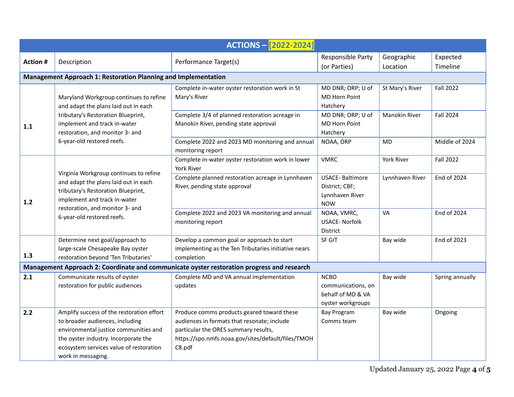| <b>ACTIONS - [2022-2024]</b>                                                               |                                                                                                                                                                                                                                |                                                                                                                                                                                                   |                                                                                                         |                                  |                                      |  |  |  |
|--------------------------------------------------------------------------------------------|--------------------------------------------------------------------------------------------------------------------------------------------------------------------------------------------------------------------------------|---------------------------------------------------------------------------------------------------------------------------------------------------------------------------------------------------|---------------------------------------------------------------------------------------------------------|----------------------------------|--------------------------------------|--|--|--|
| <b>Action#</b>                                                                             | Description                                                                                                                                                                                                                    | Performance Target(s)                                                                                                                                                                             | Responsible Party<br>(or Parties)                                                                       | Geographic<br>Location           | Expected<br>Timeline                 |  |  |  |
| Management Approach 1: Restoration Planning and Implementation                             |                                                                                                                                                                                                                                |                                                                                                                                                                                                   |                                                                                                         |                                  |                                      |  |  |  |
| 1.1                                                                                        | Maryland Workgroup continues to refine<br>and adapt the plans laid out in each<br>tributary's Restoration Blueprint,<br>implement and track in-water<br>restoration, and monitor 3- and<br>6-year-old restored reefs.          | Complete in-water oyster restoration work in St<br>Mary's River<br>Complete 3/4 of planned restoration acreage in<br>Manokin River, pending state approval                                        | MD DNR; ORP; U of<br>MD Horn Point<br>Hatchery<br>MD DNR; ORP; U of<br><b>MD Horn Point</b><br>Hatchery | St Mary's River<br>Manokin River | <b>Fall 2022</b><br><b>Fall 2024</b> |  |  |  |
|                                                                                            |                                                                                                                                                                                                                                | Complete 2022 and 2023 MD monitoring and annual<br>monitoring report                                                                                                                              | NOAA, ORP                                                                                               | <b>MD</b>                        | Middle of 2024                       |  |  |  |
| 1.2                                                                                        | Virginia Workgroup continues to refine<br>and adapt the plans laid out in each<br>tributary's Restoration Blueprint,<br>implement and track in-water<br>restoration, and monitor 3- and<br>6-year-old restored reefs.          | Complete in-water oyster restoration work in lower<br>York River                                                                                                                                  | <b>VMRC</b>                                                                                             | York River                       | <b>Fall 2022</b>                     |  |  |  |
|                                                                                            |                                                                                                                                                                                                                                | Complete planned restoration acreage in Lynnhaven<br>River, pending state approval                                                                                                                | <b>USACE-Baltimore</b><br>District; CBF;<br>Lynnhaven River<br><b>NOW</b>                               | Lynnhaven River                  | End of 2024                          |  |  |  |
|                                                                                            |                                                                                                                                                                                                                                | Complete 2022 and 2023 VA monitoring and annual<br>monitoring report                                                                                                                              | NOAA, VMRC,<br><b>USACE- Norfolk</b><br><b>District</b>                                                 | VA                               | End of 2024                          |  |  |  |
| 1.3                                                                                        | Determine next goal/approach to<br>large-scale Chesapeake Bay oyster<br>restoration beyond 'Ten Tributaries'                                                                                                                   | Develop a common goal or approach to start<br>implementing as the Ten Tributaries initiative nears<br>completion                                                                                  | <b>SF GIT</b>                                                                                           | Bay wide                         | End of 2023                          |  |  |  |
| Management Approach 2: Coordinate and communicate oyster restoration progress and research |                                                                                                                                                                                                                                |                                                                                                                                                                                                   |                                                                                                         |                                  |                                      |  |  |  |
| 2.1                                                                                        | Communicate results of oyster<br>restoration for public audiences                                                                                                                                                              | Complete MD and VA annual implementation<br>updates                                                                                                                                               | <b>NCBO</b><br>communications, on<br>behalf of MD & VA<br>oyster workgroups                             | Bay wide                         | Spring annually                      |  |  |  |
| 2.2                                                                                        | Amplify success of the restoration effort<br>to broader audiences, including<br>environmental justice communities and<br>the oyster industry. Incorporate the<br>ecosystem services value of restoration<br>work in messaging. | Produce comms products geared toward these<br>audiences in formats that resonate; include<br>particular the ORES summary results,<br>https://spo.nmfs.noaa.gov/sites/default/files/TMOH<br>C8.pdf | <b>Bay Program</b><br>Comms team                                                                        | Bay wide                         | Ongoing                              |  |  |  |